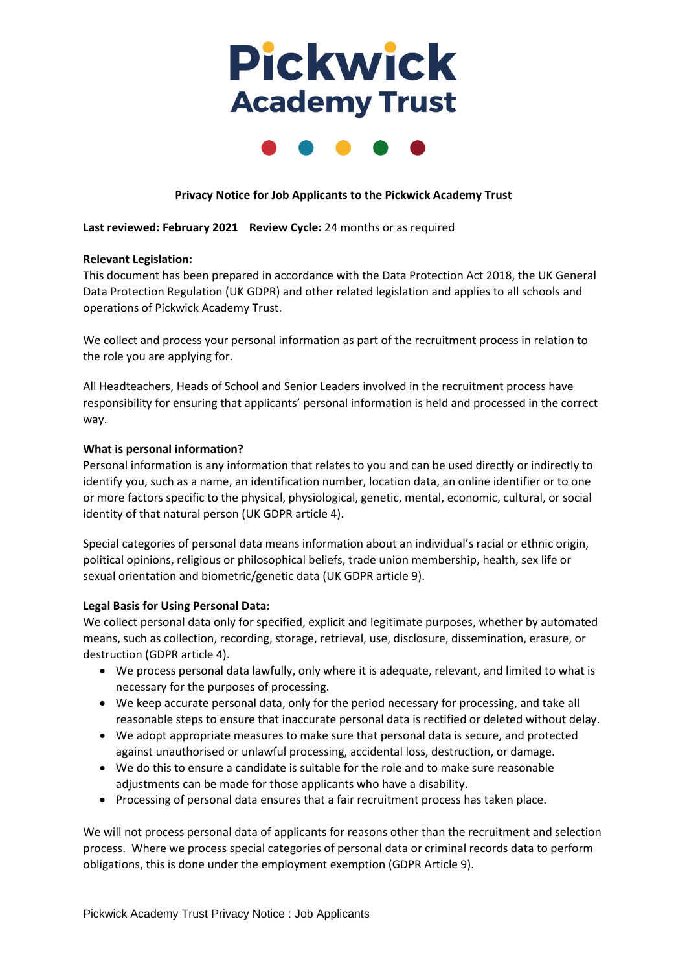# **Pickwick Academy Trust**



## **Privacy Notice for Job Applicants to the Pickwick Academy Trust**

## **Last reviewed: February 2021 Review Cycle:** 24 months or as required

## **Relevant Legislation:**

This document has been prepared in accordance with the Data Protection Act 2018, the UK General Data Protection Regulation (UK GDPR) and other related legislation and applies to all schools and operations of Pickwick Academy Trust.

We collect and process your personal information as part of the recruitment process in relation to the role you are applying for.

All Headteachers, Heads of School and Senior Leaders involved in the recruitment process have responsibility for ensuring that applicants' personal information is held and processed in the correct way.

#### **What is personal information?**

Personal information is any information that relates to you and can be used directly or indirectly to identify you, such as a name, an identification number, location data, an online identifier or to one or more factors specific to the physical, physiological, genetic, mental, economic, cultural, or social identity of that natural person (UK GDPR article 4).

Special categories of personal data means information about an individual's racial or ethnic origin, political opinions, religious or philosophical beliefs, trade union membership, health, sex life or sexual orientation and biometric/genetic data (UK GDPR article 9).

## **Legal Basis for Using Personal Data:**

We collect personal data only for specified, explicit and legitimate purposes, whether by automated means, such as collection, recording, storage, retrieval, use, disclosure, dissemination, erasure, or destruction (GDPR article 4).

- We process personal data lawfully, only where it is adequate, relevant, and limited to what is necessary for the purposes of processing.
- We keep accurate personal data, only for the period necessary for processing, and take all reasonable steps to ensure that inaccurate personal data is rectified or deleted without delay.
- We adopt appropriate measures to make sure that personal data is secure, and protected against unauthorised or unlawful processing, accidental loss, destruction, or damage.
- We do this to ensure a candidate is suitable for the role and to make sure reasonable adjustments can be made for those applicants who have a disability.
- Processing of personal data ensures that a fair recruitment process has taken place.

We will not process personal data of applicants for reasons other than the recruitment and selection process. Where we process special categories of personal data or criminal records data to perform obligations, this is done under the employment exemption (GDPR Article 9).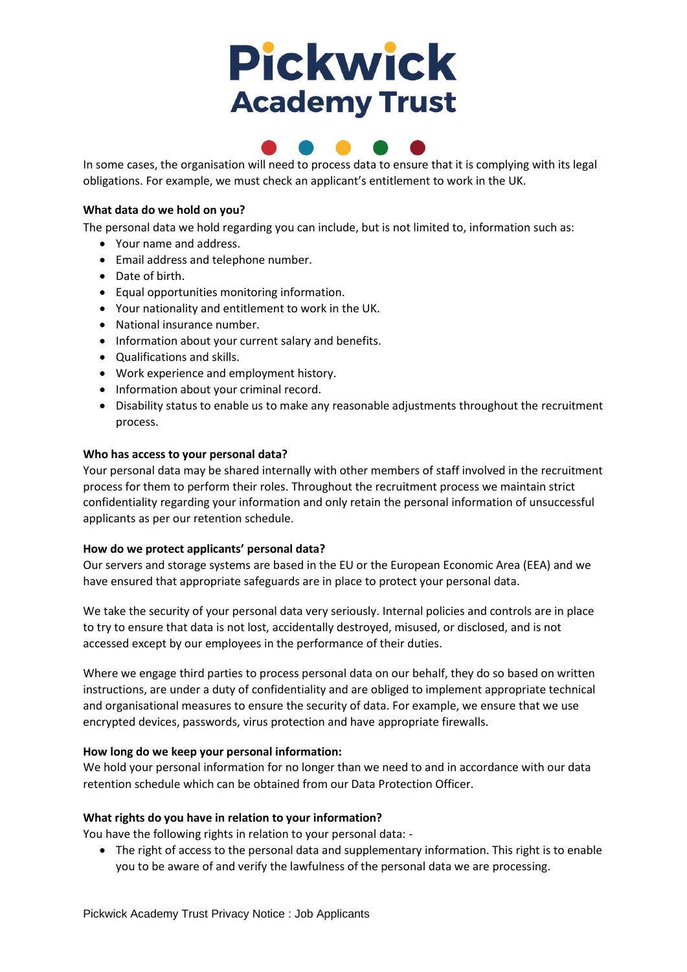# **Pickwick Academy Trust**



In some cases, the organisation will need to process data to ensure that it is complying with its legal obligations. For example, we must check an applicant's entitlement to work in the UK.

## **What data do we hold on you?**

The personal data we hold regarding you can include, but is not limited to, information such as:

- Your name and address.
- Email address and telephone number.
- Date of birth.
- Equal opportunities monitoring information.
- Your nationality and entitlement to work in the UK.
- National insurance number.
- Information about your current salary and benefits.
- Qualifications and skills.
- Work experience and employment history.
- Information about your criminal record.
- Disability status to enable us to make any reasonable adjustments throughout the recruitment process.

## **Who has access to your personal data?**

Your personal data may be shared internally with other members of staff involved in the recruitment process for them to perform their roles. Throughout the recruitment process we maintain strict confidentiality regarding your information and only retain the personal information of unsuccessful applicants as per our retention schedule.

## **How do we protect applicants' personal data?**

Our servers and storage systems are based in the EU or the European Economic Area (EEA) and we have ensured that appropriate safeguards are in place to protect your personal data.

We take the security of your personal data very seriously. Internal policies and controls are in place to try to ensure that data is not lost, accidentally destroyed, misused, or disclosed, and is not accessed except by our employees in the performance of their duties.

Where we engage third parties to process personal data on our behalf, they do so based on written instructions, are under a duty of confidentiality and are obliged to implement appropriate technical and organisational measures to ensure the security of data. For example, we ensure that we use encrypted devices, passwords, virus protection and have appropriate firewalls.

## **How long do we keep your personal information:**

We hold your personal information for no longer than we need to and in accordance with our data retention schedule which can be obtained from our Data Protection Officer.

## **What rights do you have in relation to your information?**

You have the following rights in relation to your personal data: -

• The right of access to the personal data and supplementary information. This right is to enable you to be aware of and verify the lawfulness of the personal data we are processing.